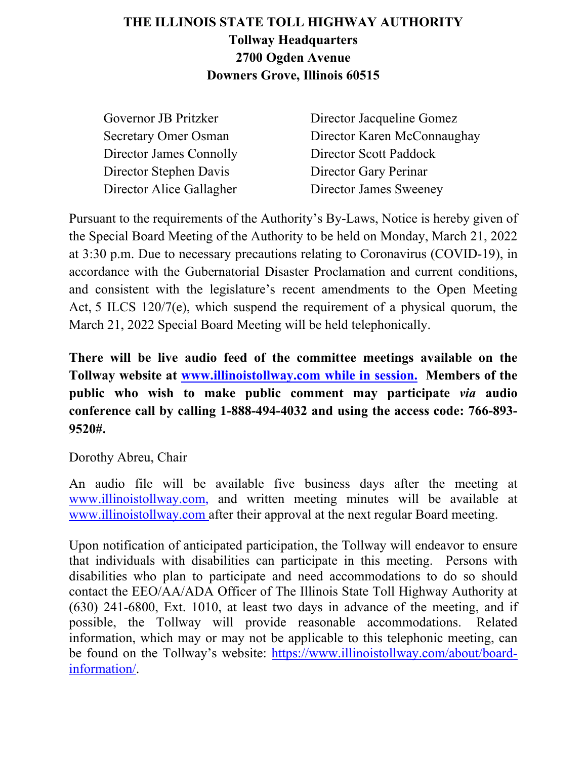# **THE ILLINOIS STATE TOLL HIGHWAY AUTHORITY Tollway Headquarters 2700 Ogden Avenue Downers Grove, Illinois 60515**

| Governor JB Pritzker        | Director Jacqueline Gomez   |
|-----------------------------|-----------------------------|
| <b>Secretary Omer Osman</b> | Director Karen McConnaughay |
| Director James Connolly     | Director Scott Paddock      |
| Director Stephen Davis      | Director Gary Perinar       |
| Director Alice Gallagher    | Director James Sweeney      |

Pursuant to the requirements of the Authority's By-Laws, Notice is hereby given of the Special Board Meeting of the Authority to be held on Monday, March 21, 2022 at 3:30 p.m. Due to necessary precautions relating to Coronavirus (COVID-19), in accordance with the Gubernatorial Disaster Proclamation and current conditions, and consistent with the legislature's recent amendments to the Open Meeting Act, 5 ILCS 120/7(e), which suspend the requirement of a physical quorum, the March 21, 2022 Special Board Meeting will be held telephonically.

**There will be live audio feed of the committee meetings available on the Tollway website at [www.illinoistollway.com](http://www.illinoistollway.com/) while in session. Members of the public who wish to make public comment may participate** *via* **audio conference call by calling 1-888-494-4032 and using the access code: 766-893- 9520#.**

Dorothy Abreu, Chair

An audio file will be available five business days after the meeting at [www.illinoistollway.com,](http://www.illinoistollway.com/) and written meeting minutes will be available at [www.illinoistollway.com](http://www.illinoistollway.com/) after their approval at the next regular Board meeting.

Upon notification of anticipated participation, the Tollway will endeavor to ensure that individuals with disabilities can participate in this meeting. Persons with disabilities who plan to participate and need accommodations to do so should contact the EEO/AA/ADA Officer of The Illinois State Toll Highway Authority at (630) 241-6800, Ext. 1010, at least two days in advance of the meeting, and if possible, the Tollway will provide reasonable accommodations. Related information, which may or may not be applicable to this telephonic meeting, can be found on the Tollway's website: [https://www.illinoistollway.com/about/board](https://www.illinoistollway.com/about/board-information/)[information/.](https://www.illinoistollway.com/about/board-information/)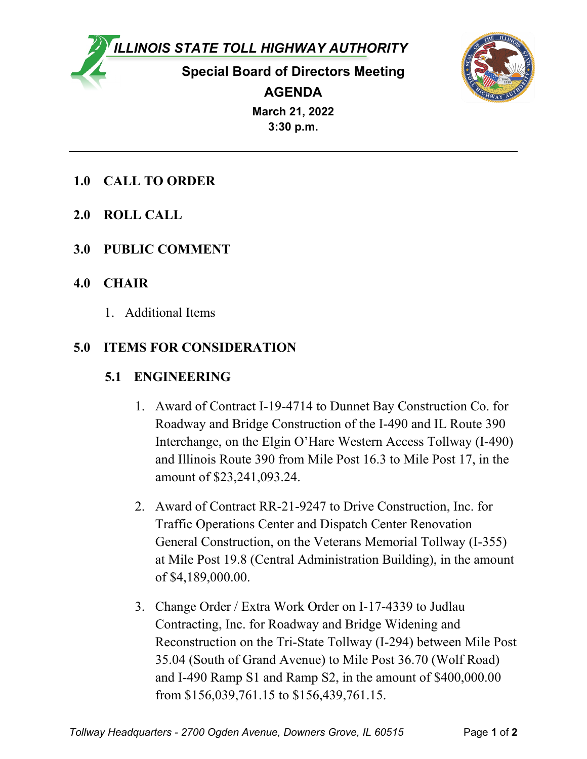*ILLINOIS STATE TOLL HIGHWAY AUTHORITY*

**Special Board of Directors Meeting AGENDA**



**March 21, 2022 3:30 p.m.**

- **1.0 CALL TO ORDER**
- **2.0 ROLL CALL**
- **3.0 PUBLIC COMMENT**
- **4.0 CHAIR**
	- 1. Additional Items

# **5.0 ITEMS FOR CONSIDERATION**

# **5.1 ENGINEERING**

- 1. Award of Contract I-19-4714 to Dunnet Bay Construction Co. for Roadway and Bridge Construction of the I-490 and IL Route 390 Interchange, on the Elgin O'Hare Western Access Tollway (I-490) and Illinois Route 390 from Mile Post 16.3 to Mile Post 17, in the amount of \$23,241,093.24.
- 2. Award of Contract RR-21-9247 to Drive Construction, Inc. for Traffic Operations Center and Dispatch Center Renovation General Construction, on the Veterans Memorial Tollway (I-355) at Mile Post 19.8 (Central Administration Building), in the amount of \$4,189,000.00.
- 3. Change Order / Extra Work Order on I-17-4339 to Judlau Contracting, Inc. for Roadway and Bridge Widening and Reconstruction on the Tri-State Tollway (I-294) between Mile Post 35.04 (South of Grand Avenue) to Mile Post 36.70 (Wolf Road) and I-490 Ramp S1 and Ramp S2, in the amount of \$400,000.00 from \$156,039,761.15 to \$156,439,761.15.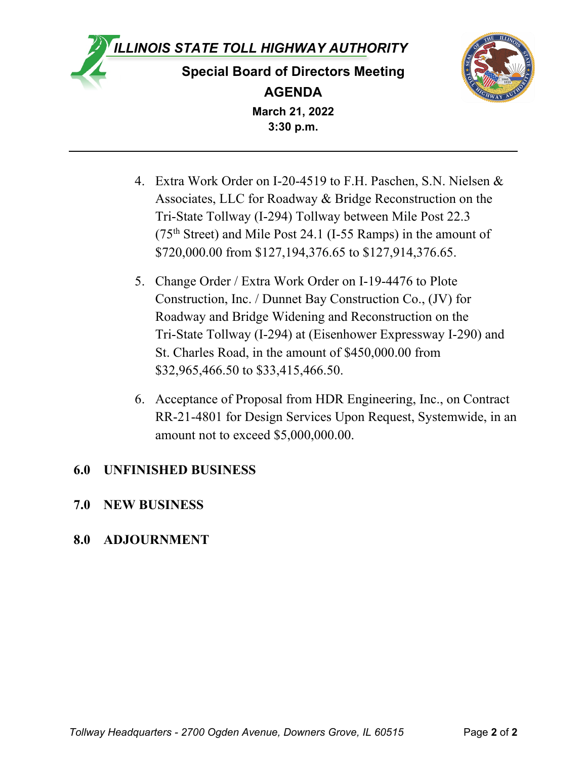



**March 21, 2022 3:30 p.m.**

- 4. Extra Work Order on I-20-4519 to F.H. Paschen, S.N. Nielsen & Associates, LLC for Roadway & Bridge Reconstruction on the Tri-State Tollway (I-294) Tollway between Mile Post 22.3 ( $75<sup>th</sup> Street$ ) and Mile Post 24.1 (I-55 Ramps) in the amount of \$720,000.00 from \$127,194,376.65 to \$127,914,376.65.
- 5. Change Order / Extra Work Order on I-19-4476 to Plote Construction, Inc. / Dunnet Bay Construction Co., (JV) for Roadway and Bridge Widening and Reconstruction on the Tri-State Tollway (I-294) at (Eisenhower Expressway I-290) and St. Charles Road, in the amount of \$450,000.00 from \$32,965,466.50 to \$33,415,466.50.
- 6. Acceptance of Proposal from HDR Engineering, Inc., on Contract RR-21-4801 for Design Services Upon Request, Systemwide, in an amount not to exceed \$5,000,000.00.

# **6.0 UNFINISHED BUSINESS**

**7.0 NEW BUSINESS**

# **8.0 ADJOURNMENT**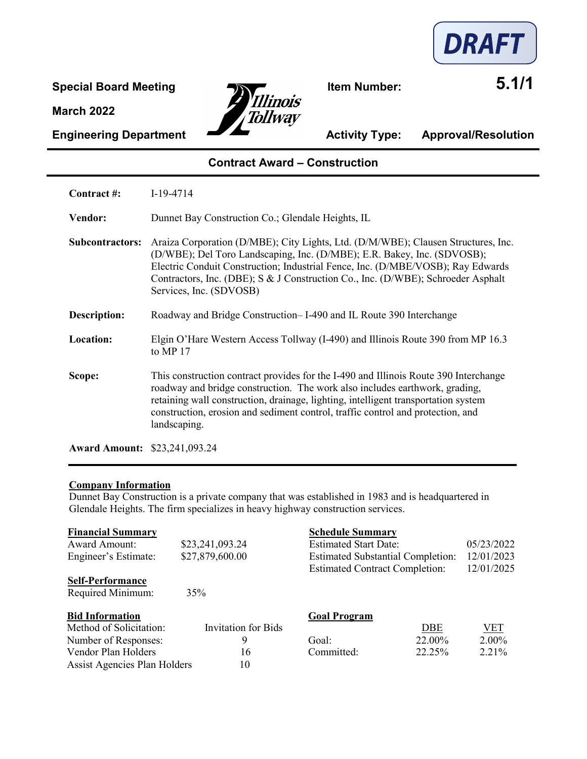

**Special Board Meeting Item Number: 5.1/1** Tollway

**Engineering Department Activity Type: Approval/Resolution** 

### **Contract Award – Construction**

| Contract #:            | $I-19-4714$                                                                                                                                                                                                                                                                                                                                                    |
|------------------------|----------------------------------------------------------------------------------------------------------------------------------------------------------------------------------------------------------------------------------------------------------------------------------------------------------------------------------------------------------------|
| Vendor:                | Dunnet Bay Construction Co.; Glendale Heights, IL                                                                                                                                                                                                                                                                                                              |
| <b>Subcontractors:</b> | Araiza Corporation (D/MBE); City Lights, Ltd. (D/M/WBE); Clausen Structures, Inc.<br>(D/WBE); Del Toro Landscaping, Inc. (D/MBE); E.R. Bakey, Inc. (SDVOSB);<br>Electric Conduit Construction; Industrial Fence, Inc. (D/MBE/VOSB); Ray Edwards<br>Contractors, Inc. (DBE); S & J Construction Co., Inc. (D/WBE); Schroeder Asphalt<br>Services, Inc. (SDVOSB) |
| Description:           | Roadway and Bridge Construction-I-490 and IL Route 390 Interchange                                                                                                                                                                                                                                                                                             |
| Location:              | Elgin O'Hare Western Access Tollway (I-490) and Illinois Route 390 from MP 16.3<br>to MP 17                                                                                                                                                                                                                                                                    |
| Scope:                 | This construction contract provides for the I-490 and Illinois Route 390 Interchange<br>roadway and bridge construction. The work also includes earthwork, grading,<br>retaining wall construction, drainage, lighting, intelligent transportation system<br>construction, erosion and sediment control, traffic control and protection, and<br>landscaping.   |

**Award Amount:** \$23,241,093.24

#### **Company Information**

Dunnet Bay Construction is a private company that was established in 1983 and is headquartered in Glendale Heights. The firm specializes in heavy highway construction services.

| <b>Financial Summary</b>            |                            | <b>Schedule Summary</b>                  |            |            |
|-------------------------------------|----------------------------|------------------------------------------|------------|------------|
| <b>Award Amount:</b>                | \$23,241,093.24            | <b>Estimated Start Date:</b>             |            | 05/23/2022 |
| Engineer's Estimate:                | \$27,879,600.00            | <b>Estimated Substantial Completion:</b> |            | 12/01/2023 |
|                                     |                            | <b>Estimated Contract Completion:</b>    |            | 12/01/2025 |
| <b>Self-Performance</b>             |                            |                                          |            |            |
| Required Minimum:                   | 35%                        |                                          |            |            |
| <b>Bid Information</b>              |                            | <b>Goal Program</b>                      |            |            |
| Method of Solicitation:             | <b>Invitation for Bids</b> |                                          | <b>DBE</b> | VET        |
| Number of Responses:                | 9                          | Goal:                                    | 22.00%     | 2.00%      |
| Vendor Plan Holders                 | 16                         | Committed:                               | 22.25%     | 2.21%      |
| <b>Assist Agencies Plan Holders</b> | 10                         |                                          |            |            |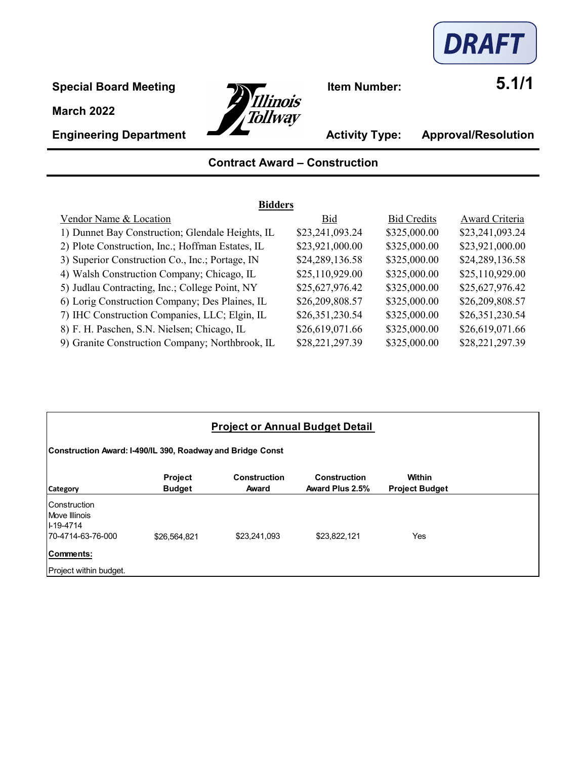

**Special Board Meeting**<br> **Internal Board Meeting**<br> **Internal Board Meeting**<br> **Internal Board Meeting**<br> **Internal Board Meeting**<br> **Internal Board Meeting** 



**Engineering Department Activity Type: Approval/Resolution** 

# **Contract Award – Construction**

| <b>Bidders</b>                                   |                 |                    |                 |  |  |  |
|--------------------------------------------------|-----------------|--------------------|-----------------|--|--|--|
| Vendor Name & Location                           | Bid             | <b>Bid Credits</b> | Award Criteria  |  |  |  |
| 1) Dunnet Bay Construction; Glendale Heights, IL | \$23,241,093.24 | \$325,000.00       | \$23,241,093.24 |  |  |  |
| 2) Plote Construction, Inc.; Hoffman Estates, IL | \$23,921,000.00 | \$325,000.00       | \$23,921,000.00 |  |  |  |
| 3) Superior Construction Co., Inc.; Portage, IN  | \$24,289,136.58 | \$325,000.00       | \$24,289,136.58 |  |  |  |
| 4) Walsh Construction Company; Chicago, IL       | \$25,110,929.00 | \$325,000.00       | \$25,110,929.00 |  |  |  |
| 5) Judlau Contracting, Inc.; College Point, NY   | \$25,627,976.42 | \$325,000.00       | \$25,627,976.42 |  |  |  |
| 6) Lorig Construction Company; Des Plaines, IL   | \$26,209,808.57 | \$325,000.00       | \$26,209,808.57 |  |  |  |
| 7) IHC Construction Companies, LLC; Elgin, IL    | \$26,351,230.54 | \$325,000.00       | \$26,351,230.54 |  |  |  |
| 8) F. H. Paschen, S.N. Nielsen; Chicago, IL      | \$26,619,071.66 | \$325,000.00       | \$26,619,071.66 |  |  |  |
| 9) Granite Construction Company; Northbrook, IL  | \$28,221,297.39 | \$325,000.00       | \$28,221,297.39 |  |  |  |

| <b>Project or Annual Budget Detail</b>                           |                                                            |                       |                                        |                                 |  |  |  |
|------------------------------------------------------------------|------------------------------------------------------------|-----------------------|----------------------------------------|---------------------------------|--|--|--|
|                                                                  | Construction Award: I-490/IL 390, Roadway and Bridge Const |                       |                                        |                                 |  |  |  |
| <b>Category</b>                                                  | <b>Project</b><br><b>Budget</b>                            | Construction<br>Award | <b>Construction</b><br>Award Plus 2.5% | Within<br><b>Project Budget</b> |  |  |  |
| Construction<br>Move Illinois<br>II-19-4714<br>70-4714-63-76-000 | \$26,564,821                                               | \$23,241,093          | \$23,822,121                           | Yes                             |  |  |  |
| Comments:<br>Project within budget.                              |                                                            |                       |                                        |                                 |  |  |  |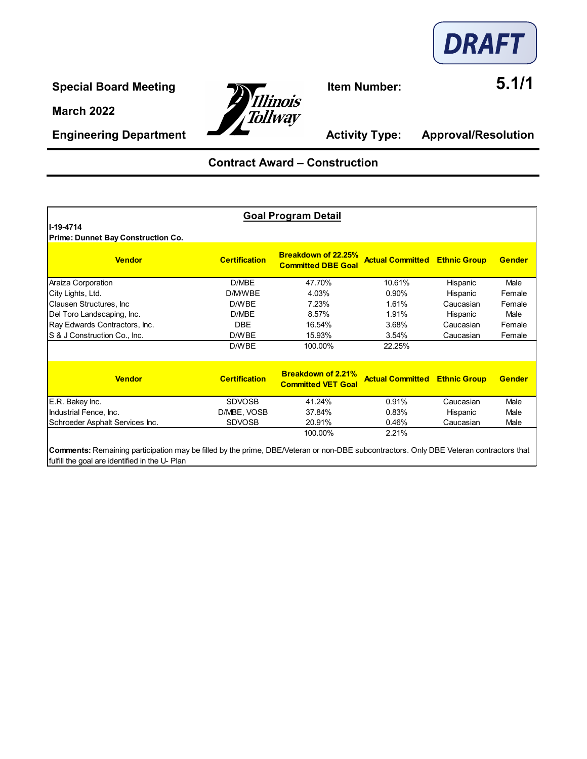



**Engineering Department Activity Type: Approval/Resolution** 

# **Contract Award – Construction**

| <b>Goal Program Detail</b>                                                                                                             |                      |                                                        |                         |                     |               |  |  |  |
|----------------------------------------------------------------------------------------------------------------------------------------|----------------------|--------------------------------------------------------|-------------------------|---------------------|---------------|--|--|--|
| ll-19-4714<br>Prime: Dunnet Bay Construction Co.                                                                                       |                      |                                                        |                         |                     |               |  |  |  |
| <b>Vendor</b>                                                                                                                          | <b>Certification</b> | Breakdown of 22.25%<br><b>Committed DBE Goal</b>       | <b>Actual Committed</b> | <b>Ethnic Group</b> | <b>Gender</b> |  |  |  |
| Araiza Corporation                                                                                                                     | D/MBE                | 47.70%                                                 | 10.61%                  | Hispanic            | Male          |  |  |  |
| City Lights, Ltd.                                                                                                                      | D/M/WBE              | 4.03%                                                  | 0.90%                   | Hispanic            | Female        |  |  |  |
| Clausen Structures, Inc.                                                                                                               | D/WBE                | 7.23%                                                  | 1.61%                   | Caucasian           | Female        |  |  |  |
| Del Toro Landscaping, Inc.                                                                                                             | D/MBE                | 8.57%                                                  | 1.91%                   | Hispanic            | Male          |  |  |  |
| Ray Edwards Contractors, Inc.                                                                                                          | <b>DBE</b>           | 16.54%                                                 | 3.68%                   | Caucasian           | Female        |  |  |  |
| S & J Construction Co., Inc.                                                                                                           | D/WBE                | 15.93%                                                 | 3.54%                   | Caucasian           | Female        |  |  |  |
|                                                                                                                                        | D/WBE                | 100.00%                                                | 22.25%                  |                     |               |  |  |  |
| <b>Vendor</b>                                                                                                                          | <b>Certification</b> | <b>Breakdown of 2.21%</b><br><b>Committed VET Goal</b> | <b>Actual Committed</b> | <b>Ethnic Group</b> | <b>Gender</b> |  |  |  |
| E.R. Bakey Inc.                                                                                                                        | <b>SDVOSB</b>        | 41.24%                                                 | 0.91%                   | Caucasian           | Male          |  |  |  |
| Industrial Fence, Inc.                                                                                                                 | D/MBE, VOSB          | 37.84%                                                 | 0.83%                   | Hispanic            | Male          |  |  |  |
| Schroeder Asphalt Services Inc.                                                                                                        | <b>SDVOSB</b>        | 20.91%                                                 | 0.46%                   | Caucasian           | Male          |  |  |  |
| Comments: Remaining participation may be filled by the prime. DRE/Veteran or non-DRE subcontractors. Only DRE Veteran contractors that | 100.00%<br>2.21%     |                                                        |                         |                     |               |  |  |  |

**Comments:** Remaining participation may be filled by the prime, DBE/Veteran or non-DBE subcontractors. Only DBE Veteran contractors that fulfill the goal are identified in the U- Plan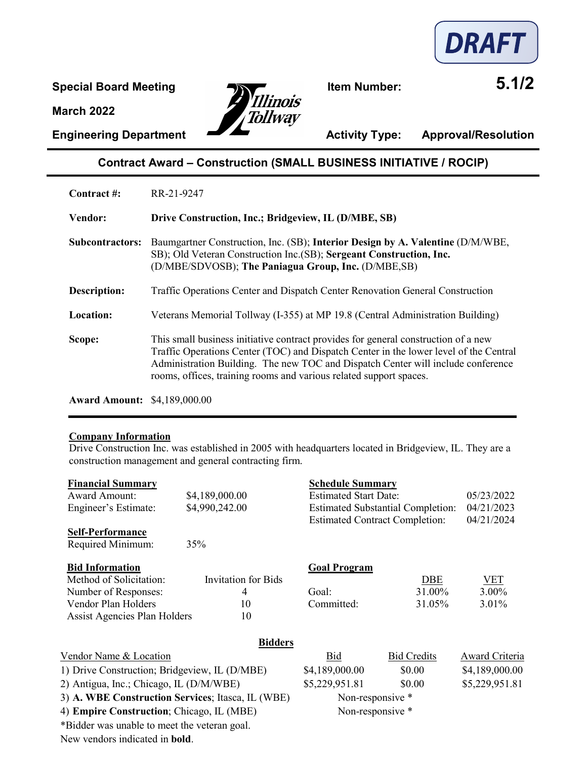



**Engineering Department Activity Type: Approval/Resolution** 

## **Contract Award – Construction (SMALL BUSINESS INITIATIVE / ROCIP)**

| Contract #:            | RR-21-9247                                                                                                                                                                                                                                                                                                                            |
|------------------------|---------------------------------------------------------------------------------------------------------------------------------------------------------------------------------------------------------------------------------------------------------------------------------------------------------------------------------------|
| <b>Vendor:</b>         | Drive Construction, Inc.; Bridgeview, IL (D/MBE, SB)                                                                                                                                                                                                                                                                                  |
| <b>Subcontractors:</b> | Baumgartner Construction, Inc. (SB); Interior Design by A. Valentine (D/M/WBE,<br>SB); Old Veteran Construction Inc.(SB); Sergeant Construction, Inc.<br>(D/MBE/SDVOSB); The Paniagua Group, Inc. (D/MBE,SB)                                                                                                                          |
| Description:           | Traffic Operations Center and Dispatch Center Renovation General Construction                                                                                                                                                                                                                                                         |
| Location:              | Veterans Memorial Tollway (I-355) at MP 19.8 (Central Administration Building)                                                                                                                                                                                                                                                        |
| Scope:                 | This small business initiative contract provides for general construction of a new<br>Traffic Operations Center (TOC) and Dispatch Center in the lower level of the Central<br>Administration Building. The new TOC and Dispatch Center will include conference<br>rooms, offices, training rooms and various related support spaces. |

**Award Amount:** \$4,189,000.00

#### **Company Information**

Drive Construction Inc. was established in 2005 with headquarters located in Bridgeview, IL. They are a construction management and general contracting firm.

| <b>Financial Summary</b>                          |                            | <b>Schedule Summary</b>               |                                          |                |
|---------------------------------------------------|----------------------------|---------------------------------------|------------------------------------------|----------------|
| <b>Award Amount:</b>                              | \$4,189,000.00             |                                       | <b>Estimated Start Date:</b>             |                |
| Engineer's Estimate:                              | \$4,990,242.00             |                                       | <b>Estimated Substantial Completion:</b> | 04/21/2023     |
|                                                   |                            | <b>Estimated Contract Completion:</b> |                                          | 04/21/2024     |
| <b>Self-Performance</b>                           |                            |                                       |                                          |                |
| Required Minimum:                                 | 35%                        |                                       |                                          |                |
| <b>Bid Information</b>                            |                            | <b>Goal Program</b>                   |                                          |                |
| Method of Solicitation:                           | <b>Invitation for Bids</b> |                                       | <b>DBE</b>                               | <b>VET</b>     |
| Number of Responses:                              | 4                          | Goal:                                 | 31.00%                                   | 3.00%          |
| Vendor Plan Holders                               | 10                         | Committed:                            | 31.05%                                   | 3.01%          |
| Assist Agencies Plan Holders                      | 10                         |                                       |                                          |                |
|                                                   | <b>Bidders</b>             |                                       |                                          |                |
| Vendor Name & Location                            |                            | Bid                                   | <b>Bid Credits</b>                       | Award Criteria |
| 1) Drive Construction; Bridgeview, IL (D/MBE)     |                            | \$4,189,000.00                        | \$0.00                                   | \$4,189,000.00 |
| 2) Antigua, Inc.; Chicago, IL (D/M/WBE)           |                            | \$5,229,951.81                        | \$0.00                                   | \$5,229,951.81 |
| 3) A. WBE Construction Services; Itasca, IL (WBE) |                            | Non-responsive *                      |                                          |                |
| 4) Empire Construction; Chicago, IL (MBE)         |                            | Non-responsive *                      |                                          |                |
| *Bidder was unable to meet the veteran goal.      |                            |                                       |                                          |                |
|                                                   |                            |                                       |                                          |                |

New vendors indicated in **bold**.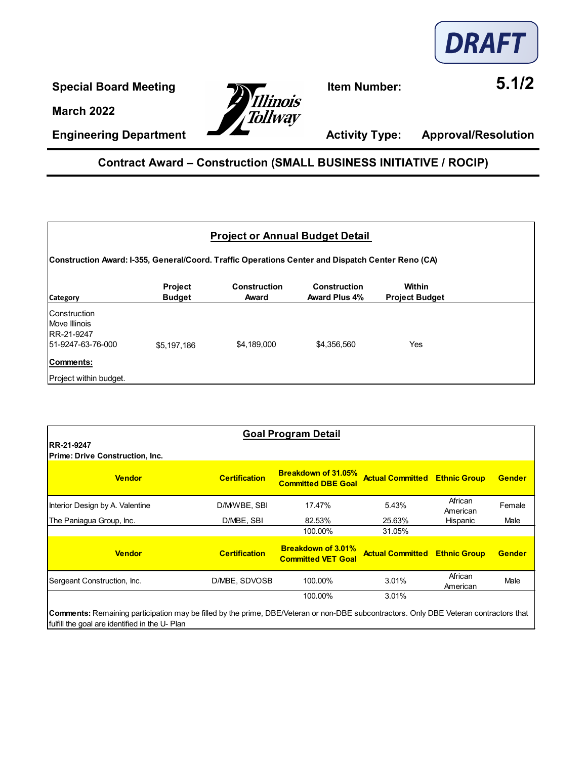

**Special Board Meeting**<br> **11. Item Number:** 5.1/2 **Tollway** 

**Engineering Department Activity Type: Approval/Resolution** 

### **Contract Award – Construction (SMALL BUSINESS INITIATIVE / ROCIP)**

| <b>Project or Annual Budget Detail</b><br>(Construction Award: I-355, General/Coord. Traffic Operations Center and Dispatch Center Reno (CA |             |             |             |     |  |  |
|---------------------------------------------------------------------------------------------------------------------------------------------|-------------|-------------|-------------|-----|--|--|
|                                                                                                                                             |             |             |             |     |  |  |
| Construction<br>Move Illinois<br>RR-21-9247<br>51-9247-63-76-000                                                                            | \$5,197,186 | \$4,189,000 | \$4,356,560 | Yes |  |  |
| <b>Comments:</b><br>Project within budget.                                                                                                  |             |             |             |     |  |  |

| <b>Goal Program Detail</b>                            |                      |                                                         |                                      |                     |               |  |
|-------------------------------------------------------|----------------------|---------------------------------------------------------|--------------------------------------|---------------------|---------------|--|
| IRR-21-9247<br><b>Prime: Drive Construction, Inc.</b> |                      |                                                         |                                      |                     |               |  |
| <b>Vendor</b>                                         | <b>Certification</b> | <b>Breakdown of 31.05%</b><br><b>Committed DBE Goal</b> | <b>Actual Committed Ethnic Group</b> |                     | <b>Gender</b> |  |
| Interior Design by A. Valentine                       | D/MWBE, SBI          | 17.47%                                                  | 5.43%                                | African<br>American | Female        |  |
| The Paniagua Group, Inc.                              | D/MBE, SBI           | 82.53%                                                  | 25.63%                               | Hispanic            | Male          |  |
|                                                       |                      | 100.00%                                                 | 31.05%                               |                     |               |  |
| <b>Vendor</b>                                         | <b>Certification</b> | <b>Breakdown of 3.01%</b><br><b>Committed VET Goal</b>  | <b>Actual Committed Ethnic Group</b> |                     | <b>Gender</b> |  |
| Sergeant Construction, Inc.                           | D/MBE, SDVOSB        | 100.00%                                                 | 3.01%                                | African<br>American | Male          |  |
|                                                       |                      | 100.00%                                                 | 3.01%                                |                     |               |  |

**Comments:** Remaining participation may be filled by the prime, DBE/Veteran or non-DBE subcontractors. Only DBE Veteran contractors that fulfill the goal are identified in the U- Plan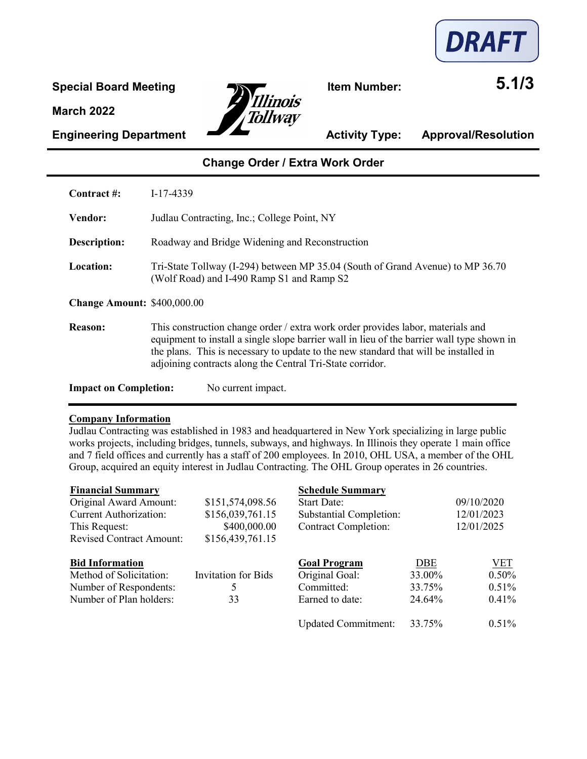

Special Board Meeting<br> **Example 15 and Separation 15 and Separation 15 and SS 5.1/3** Tollwav

**Engineering Department Activity Type: Approval/Resolution** 

## **Change Order / Extra Work Order**

**Contract #:** I-17-4339 **Vendor:** Judlau Contracting, Inc.; College Point, NY **Description:** Roadway and Bridge Widening and Reconstruction **Location:** Tri-State Tollway (I-294) between MP 35.04 (South of Grand Avenue) to MP 36.70 (Wolf Road) and I-490 Ramp S1 and Ramp S2 **Change Amount:** \$400,000.00 **Reason:** This construction change order / extra work order provides labor, materials and equipment to install a single slope barrier wall in lieu of the barrier wall type shown in the plans. This is necessary to update to the new standard that will be installed in adjoining contracts along the Central Tri-State corridor. **Impact on Completion:** No current impact.

#### **Company Information**

Judlau Contracting was established in 1983 and headquartered in New York specializing in large public works projects, including bridges, tunnels, subways, and highways. In Illinois they operate 1 main office and 7 field offices and currently has a staff of 200 employees. In 2010, OHL USA, a member of the OHL Group, acquired an equity interest in Judlau Contracting. The OHL Group operates in 26 countries.

| <b>Financial Summary</b> |
|--------------------------|
|--------------------------|

| <b>Financial Summary</b>        |                            | <b>Schedule Summary</b>     |        |            |
|---------------------------------|----------------------------|-----------------------------|--------|------------|
| Original Award Amount:          | \$151,574,098.56           | <b>Start Date:</b>          |        | 09/10/2020 |
| <b>Current Authorization:</b>   | \$156,039,761.15           | Substantial Completion:     |        | 12/01/2023 |
| This Request:                   | \$400,000.00               | <b>Contract Completion:</b> |        | 12/01/2025 |
| <b>Revised Contract Amount:</b> | \$156,439,761.15           |                             |        |            |
| <b>Bid Information</b>          |                            | <b>Goal Program</b>         | DBE    | <u>VET</u> |
| Method of Solicitation:         | <b>Invitation for Bids</b> | Original Goal:              | 33.00% | 0.50%      |
| Number of Respondents:          |                            | Committed:                  | 33.75% | 0.51%      |
| Number of Plan holders:         | 33                         | Earned to date:             | 24.64% | 0.41%      |
|                                 |                            | <b>Updated Commitment:</b>  | 33.75% | 0.51%      |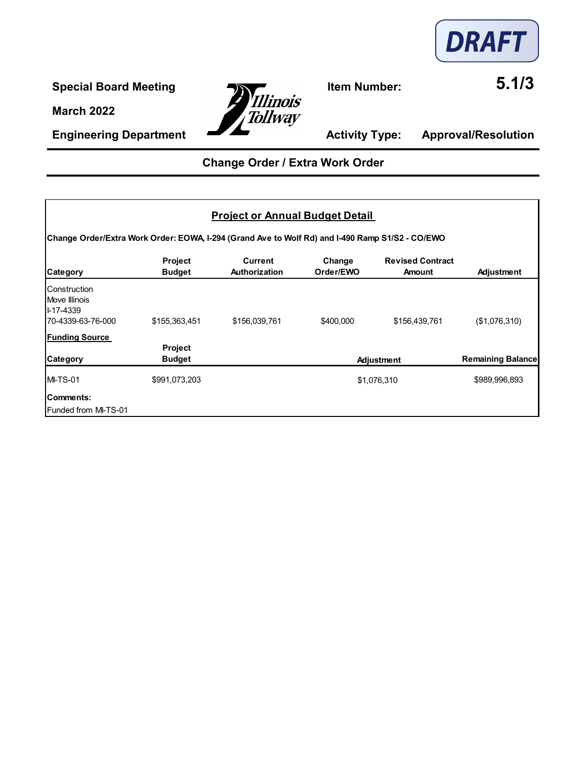

**Special Board Meeting**<br> **Internal Board Meeting**<br> **Illinois Tollway** 

**Engineering Department Activity Type: Approval/Resolution** 

# **Change Order / Extra Work Order**

|                                                                                                 |                                 | <b>Project or Annual Budget Detail</b> |                     |                                          |                          |
|-------------------------------------------------------------------------------------------------|---------------------------------|----------------------------------------|---------------------|------------------------------------------|--------------------------|
| Change Order/Extra Work Order: EOWA, I-294 (Grand Ave to Wolf Rd) and I-490 Ramp S1/S2 - CO/EWO |                                 |                                        |                     |                                          |                          |
| <b>Category</b>                                                                                 | <b>Project</b><br><b>Budget</b> | <b>Current</b><br><b>Authorization</b> | Change<br>Order/EWO | <b>Revised Contract</b><br><b>Amount</b> | Adjustment               |
| lConstruction<br>Move Illinois<br><b>I-17-4339</b><br>70-4339-63-76-000                         | \$155,363,451                   | \$156,039,761                          | \$400,000           | \$156,439,761                            | (\$1,076,310)            |
| <b>Funding Source</b><br><b>Category</b>                                                        | <b>Project</b><br><b>Budget</b> |                                        |                     | Adjustment                               | <b>Remaining Balance</b> |
| <b>MI-TS-01</b>                                                                                 | \$991,073,203                   |                                        |                     | \$1,076,310                              | \$989,996,893            |
| Comments:<br>Funded from MI-TS-01                                                               |                                 |                                        |                     |                                          |                          |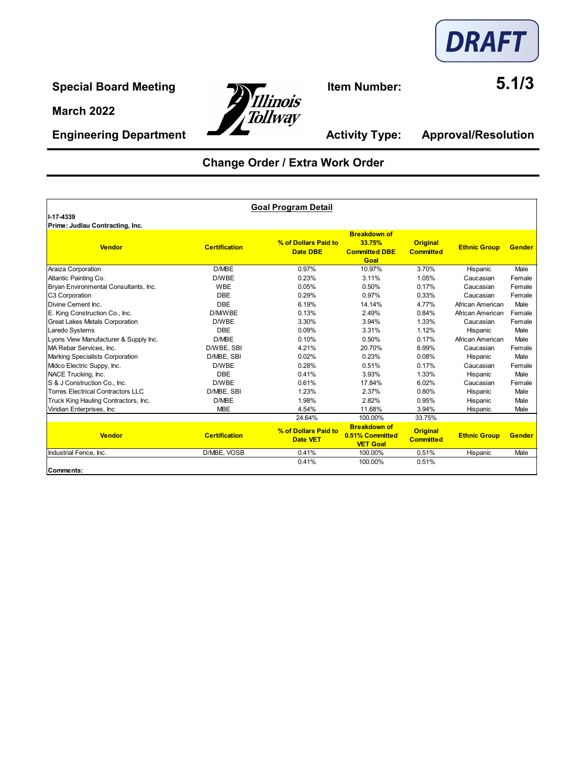

**Engineering Department Activity Type: Approval/Resolution** 



# **Change Order / Extra Work Order**

|                                          |                      | <b>Goal Program Detail</b>              |                                                               |                                     |                     |               |
|------------------------------------------|----------------------|-----------------------------------------|---------------------------------------------------------------|-------------------------------------|---------------------|---------------|
| II-17-4339                               |                      |                                         |                                                               |                                     |                     |               |
| Prime: Judlau Contracting, Inc.          |                      |                                         |                                                               |                                     |                     |               |
| <b>Vendor</b>                            | <b>Certification</b> | % of Dollars Paid to<br>Date DBE        | <b>Breakdown of</b><br>33.75%<br><b>Committed DBE</b><br>Goal | <b>Original</b><br><b>Committed</b> | <b>Ethnic Group</b> | <b>Gender</b> |
| Araiza Corporation                       | D/MBE                | 0.97%                                   | 10.97%                                                        | 3.70%                               | Hispanic            | Male          |
| Atlantic Painting Co.                    | D/WBE                | 0.23%                                   | 3.11%                                                         | 1.05%                               | Caucasian           | Female        |
| Bryan Environmental Consultants, Inc.    | <b>WBE</b>           | 0.05%                                   | 0.50%                                                         | 0.17%                               | Caucasian           | Female        |
| C3 Corporation                           | DBE                  | 0.29%                                   | 0.97%                                                         | 0.33%                               | Caucasian           | Female        |
| Divine Cement Inc.                       | <b>DBE</b>           | 6.19%                                   | 14.14%                                                        | 4.77%                               | African American    | Male          |
| E. King Construction Co., Inc.           | D/M/WBE              | 0.13%                                   | 2.49%                                                         | 0.84%                               | African American    | Female        |
| <b>Great Lakes Metals Corporation</b>    | D/WBE                | 3.30%                                   | 3.94%                                                         | 1.33%                               | Caucasian           | Female        |
| Laredo Systems                           | <b>DBE</b>           | 0.09%                                   | 3.31%                                                         | 1.12%                               | Hispanic            | Male          |
| Lyons View Manufacturer & Supply Inc.    | D/MBE                | 0.10%                                   | 0.50%                                                         | 0.17%                               | African American    | Male          |
| MA Rebar Services, Inc.                  | D/WBE, SBI           | 4.21%                                   | 20.70%                                                        | 6.99%                               | Caucasian           | Female        |
| Marking Specialists Corporation          | D/MBE, SBI           | 0.02%                                   | 0.23%                                                         | 0.08%                               | Hispanic            | Male          |
| Midco Electric Suppy, Inc.               | D/WBE                | 0.28%                                   | 0.51%                                                         | 0.17%                               | Caucasian           | Female        |
| NACE Trucking, Inc.                      | <b>DBF</b>           | 0.41%                                   | 3.93%                                                         | 1.33%                               | Hispanic            | Male          |
| S & J Construction Co., Inc.             | D/WBE                | 0.61%                                   | 17.84%                                                        | 6.02%                               | Caucasian           | Female        |
| <b>Torres Electrical Contractors LLC</b> | D/MBE, SBI           | 1.23%                                   | 2.37%                                                         | 0.80%                               | Hispanic            | Male          |
| Truck King Hauling Contractors, Inc.     | D/MBE                | 1.98%                                   | 2.82%                                                         | 0.95%                               | Hispanic            | Male          |
| Viridian Enterprises, Inc.               | <b>MBE</b>           | 4.54%                                   | 11.68%                                                        | 3.94%                               | Hispanic            | Male          |
|                                          |                      | 24.64%                                  | 100.00%                                                       | 33.75%                              |                     |               |
| <b>Vendor</b>                            | <b>Certification</b> | % of Dollars Paid to<br><b>Date VET</b> | <b>Breakdown of</b><br>0.51% Committed<br><b>VET Goal</b>     | <b>Original</b><br><b>Committed</b> | <b>Ethnic Group</b> | Gender        |
| Industrial Fence, Inc.                   | D/MBE, VOSB          | 0.41%                                   | 100.00%                                                       | 0.51%                               | Hispanic            | Male          |
| Comments:                                |                      | 0.41%                                   | 100.00%                                                       | 0.51%                               |                     |               |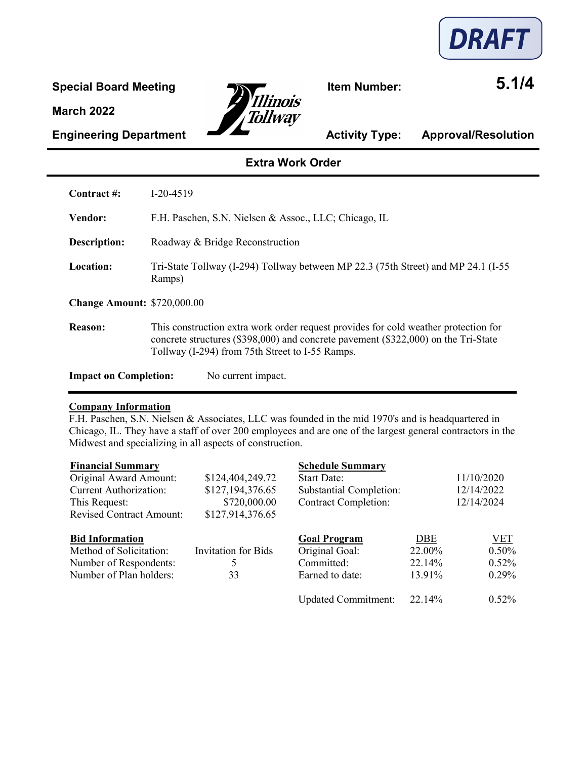



**Engineering Department Activity Type: Approval/Resolution** 

### **Extra Work Order**

| Contract #:                        | $I-20-4519$                                                                                                                                                                                                                  |
|------------------------------------|------------------------------------------------------------------------------------------------------------------------------------------------------------------------------------------------------------------------------|
| <b>Vendor:</b>                     | F.H. Paschen, S.N. Nielsen & Assoc., LLC; Chicago, IL                                                                                                                                                                        |
| Description:                       | Roadway & Bridge Reconstruction                                                                                                                                                                                              |
| Location:                          | Tri-State Tollway (I-294) Tollway between MP 22.3 (75th Street) and MP 24.1 (I-55)<br>Ramps)                                                                                                                                 |
| <b>Change Amount: \$720,000.00</b> |                                                                                                                                                                                                                              |
| Reason:                            | This construction extra work order request provides for cold weather protection for<br>concrete structures (\$398,000) and concrete pavement (\$322,000) on the Tri-State<br>Tollway (I-294) from 75th Street to I-55 Ramps. |
| <b>Impact on Completion:</b>       | No current impact.                                                                                                                                                                                                           |

#### **Company Information**

F.H. Paschen, S.N. Nielsen & Associates, LLC was founded in the mid 1970's and is headquartered in Chicago, IL. They have a staff of over 200 employees and are one of the largest general contractors in the Midwest and specializing in all aspects of construction.

| <b>Financial Summary</b>        |                            | <b>Schedule Summary</b>     |            |            |
|---------------------------------|----------------------------|-----------------------------|------------|------------|
| Original Award Amount:          | \$124,404,249.72           | <b>Start Date:</b>          |            | 11/10/2020 |
| <b>Current Authorization:</b>   | \$127,194,376.65           | Substantial Completion:     |            | 12/14/2022 |
| This Request:                   | \$720,000.00               | <b>Contract Completion:</b> |            | 12/14/2024 |
| <b>Revised Contract Amount:</b> | \$127,914,376.65           |                             |            |            |
| <b>Bid Information</b>          |                            | <b>Goal Program</b>         | <b>DBE</b> | <u>VET</u> |
| Method of Solicitation:         | <b>Invitation for Bids</b> | Original Goal:              | 22.00%     | 0.50%      |
| Number of Respondents:          | 5                          | Committed:                  | 22.14%     | 0.52%      |
| Number of Plan holders:         | 33                         | Earned to date:             | 13.91%     | 0.29%      |
|                                 |                            | <b>Updated Commitment:</b>  | 22.14%     | 0.52%      |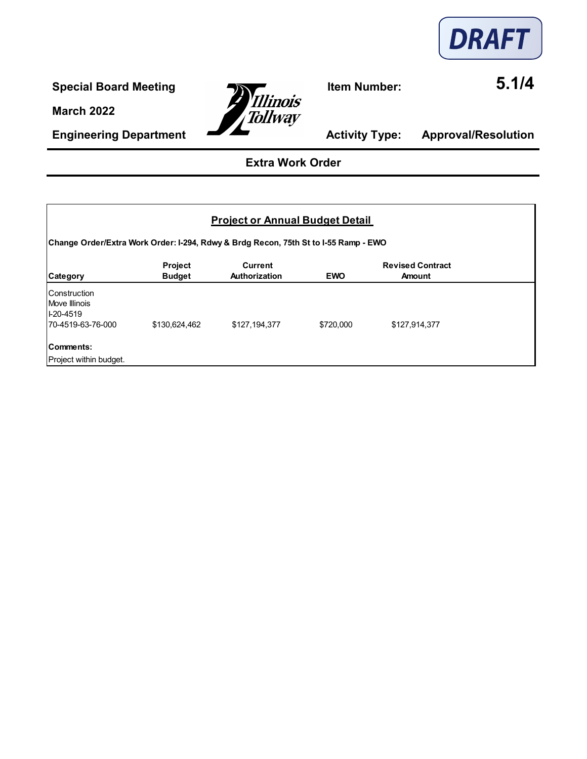

**Engineering Department Activity Type: Approval/Resolution** 



## **Extra Work Order**

### **Project or Annual Budget Detail**

**Change Order/Extra Work Order: I-294, Rdwy & Brdg Recon, 75th St to I-55 Ramp - EWO**

| Category                                                            | <b>Project</b><br><b>Budget</b> | <b>Current</b><br><b>Authorization</b> | <b>EWO</b> | <b>Revised Contract</b><br><b>Amount</b> |  |
|---------------------------------------------------------------------|---------------------------------|----------------------------------------|------------|------------------------------------------|--|
| Construction<br>Move Illinois<br>$ 1-20-4519 $<br>70-4519-63-76-000 | \$130,624,462                   | \$127,194,377                          | \$720,000  | \$127,914,377                            |  |
| Comments:<br>Project within budget.                                 |                                 |                                        |            |                                          |  |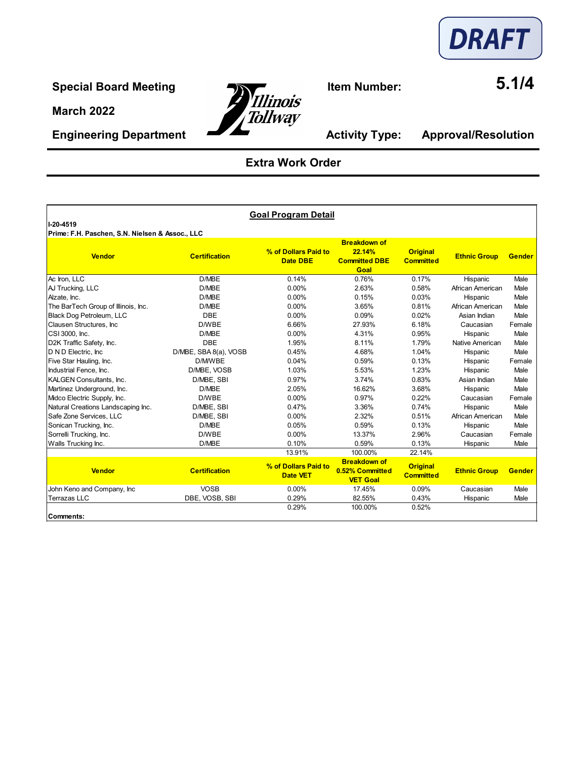

**Engineering Department Activity Type: Approval/Resolution** 



# **Extra Work Order**

| 1-20-4519                                       |                       | <b>Goal Program Detail</b>              |                                                               |                                     |                     |               |
|-------------------------------------------------|-----------------------|-----------------------------------------|---------------------------------------------------------------|-------------------------------------|---------------------|---------------|
| Prime: F.H. Paschen, S.N. Nielsen & Assoc., LLC |                       |                                         |                                                               |                                     |                     |               |
| <b>Vendor</b>                                   | <b>Certification</b>  | % of Dollars Paid to<br><b>Date DBE</b> | <b>Breakdown of</b><br>22.14%<br><b>Committed DBE</b><br>Goal | <b>Original</b><br><b>Committed</b> | <b>Ethnic Group</b> | <b>Gender</b> |
| Ac Iron, LLC                                    | D/MBE                 | 0.14%                                   | 0.76%                                                         | 0.17%                               | Hispanic            | Male          |
| AJ Trucking, LLC                                | D/MBE                 | 0.00%                                   | 2.63%                                                         | 0.58%                               | African American    | Male          |
| Alzate, Inc.                                    | D/MBE                 | 0.00%                                   | 0.15%                                                         | 0.03%                               | Hispanic            | Male          |
| The BarTech Group of Illinois, Inc.             | D/MBE                 | $0.00\%$                                | 3.65%                                                         | 0.81%                               | African American    | Male          |
| Black Dog Petroleum, LLC                        | <b>DBE</b>            | 0.00%                                   | 0.09%                                                         | 0.02%                               | Asian Indian        | Male          |
| Clausen Structures, Inc.                        | D/WBE                 | 6.66%                                   | 27.93%                                                        | 6.18%                               | Caucasian           | Female        |
| CSI 3000, Inc.                                  | D/MBE                 | 0.00%                                   | 4.31%                                                         | 0.95%                               | Hispanic            | Male          |
| D2K Traffic Safety, Inc.                        | <b>DBE</b>            | 1.95%                                   | 8.11%                                                         | 1.79%                               | Native American     | Male          |
| <b>ID N D Electric. Inc.</b>                    | D/MBE, SBA 8(a), VOSB | 0.45%                                   | 4.68%                                                         | 1.04%                               | Hispanic            | Male          |
| Five Star Hauling, Inc.                         | D/M/WBE               | 0.04%                                   | 0.59%                                                         | 0.13%                               | Hispanic            | Female        |
| Industrial Fence, Inc.                          | D/MBE. VOSB           | 1.03%                                   | 5.53%                                                         | 1.23%                               | Hispanic            | Male          |
| <b>KALGEN Consultants, Inc.</b>                 | D/MBE, SBI            | 0.97%                                   | 3.74%                                                         | 0.83%                               | Asian Indian        | Male          |
| Martinez Underground, Inc.                      | D/MBE                 | 2.05%                                   | 16.62%                                                        | 3.68%                               | Hispanic            | Male          |
| Midco Electric Supply, Inc.                     | D/WBE                 | 0.00%                                   | 0.97%                                                         | 0.22%                               | Caucasian           | Female        |
| Natural Creations Landscaping Inc.              | D/MBE, SBI            | 0.47%                                   | 3.36%                                                         | 0.74%                               | Hispanic            | Male          |
| Safe Zone Services, LLC                         | D/MBE, SBI            | 0.00%                                   | 2.32%                                                         | 0.51%                               | African American    | Male          |
| Sonican Trucking, Inc.                          | D/MBE                 | 0.05%                                   | 0.59%                                                         | 0.13%                               | Hispanic            | Male          |
| Sorrelli Trucking, Inc.                         | D/WBE                 | 0.00%                                   | 13.37%                                                        | 2.96%                               | Caucasian           | Female        |
| Walls Trucking Inc.                             | D/MBE                 | 0.10%                                   | 0.59%                                                         | 0.13%                               | Hispanic            | Male          |
|                                                 |                       | 13.91%                                  | 100.00%                                                       | 22.14%                              |                     |               |
| <b>Vendor</b>                                   | <b>Certification</b>  | % of Dollars Paid to<br><b>Date VET</b> | <b>Breakdown of</b><br>0.52% Committed<br><b>VET Goal</b>     | <b>Original</b><br><b>Committed</b> | <b>Ethnic Group</b> | <b>Gender</b> |
| John Keno and Company, Inc                      | <b>VOSB</b>           | 0.00%                                   | 17.45%                                                        | 0.09%                               | Caucasian           | Male          |
| <b>Terrazas LLC</b>                             | DBE, VOSB, SBI        | 0.29%                                   | 82.55%                                                        | 0.43%                               | Hispanic            | Male          |
| lComments:                                      |                       | 0.29%                                   | 100.00%                                                       | 0.52%                               |                     |               |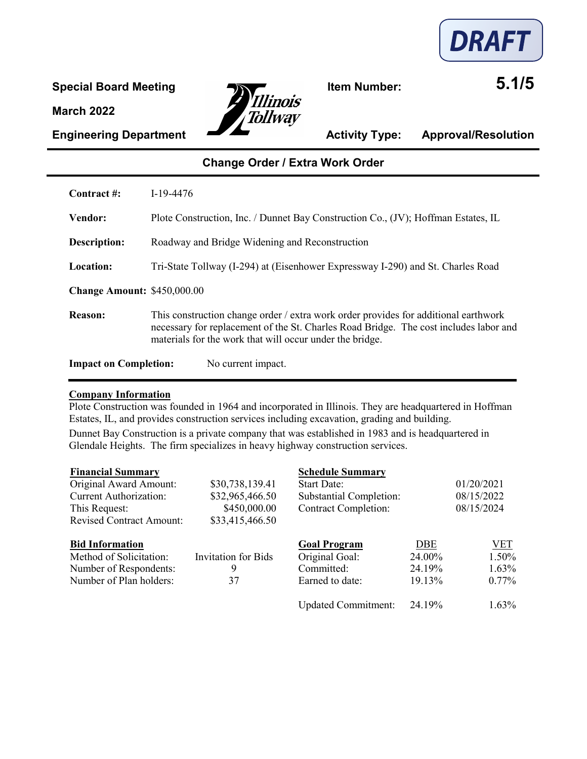

**Special Board Meeting Item Number: 5.1/5** Tollway

**Engineering Department Activity Type: Approval/Resolution** 

## **Change Order / Extra Work Order**

| Contract #:                        | $I-19-4476$                                                                                                                                                                                                                              |
|------------------------------------|------------------------------------------------------------------------------------------------------------------------------------------------------------------------------------------------------------------------------------------|
| <b>Vendor:</b>                     | Plote Construction, Inc. / Dunnet Bay Construction Co., (JV); Hoffman Estates, IL                                                                                                                                                        |
| Description:                       | Roadway and Bridge Widening and Reconstruction                                                                                                                                                                                           |
| Location:                          | Tri-State Tollway (I-294) at (Eisenhower Expressway I-290) and St. Charles Road                                                                                                                                                          |
| <b>Change Amount: \$450,000.00</b> |                                                                                                                                                                                                                                          |
| Reason:                            | This construction change order / extra work order provides for additional earthwork<br>necessary for replacement of the St. Charles Road Bridge. The cost includes labor and<br>materials for the work that will occur under the bridge. |
| <b>Impact on Completion:</b>       | No current impact.                                                                                                                                                                                                                       |

#### **Company Information**

Plote Construction was founded in 1964 and incorporated in Illinois. They are headquartered in Hoffman Estates, IL, and provides construction services including excavation, grading and building. Dunnet Bay Construction is a private company that was established in 1983 and is headquartered in Glendale Heights. The firm specializes in heavy highway construction services.

| <b>Financial Summary</b>        |                     | <b>Schedule Summary</b>        |        |            |
|---------------------------------|---------------------|--------------------------------|--------|------------|
| Original Award Amount:          | \$30,738,139.41     | <b>Start Date:</b>             |        | 01/20/2021 |
| <b>Current Authorization:</b>   | \$32,965,466.50     | <b>Substantial Completion:</b> |        | 08/15/2022 |
| This Request:                   | \$450,000.00        | <b>Contract Completion:</b>    |        | 08/15/2024 |
| <b>Revised Contract Amount:</b> | \$33,415,466.50     |                                |        |            |
| <b>Bid Information</b>          |                     | <b>Goal Program</b>            | DBE    | VET        |
| Method of Solicitation:         | Invitation for Bids | Original Goal:                 | 24.00% | 1.50%      |
| Number of Respondents:          | 9                   | Committed:                     | 24.19% | 1.63%      |
| Number of Plan holders:         | 37                  | Earned to date:                | 19.13% | $0.77\%$   |
|                                 |                     | <b>Updated Commitment:</b>     | 24.19% | 1.63%      |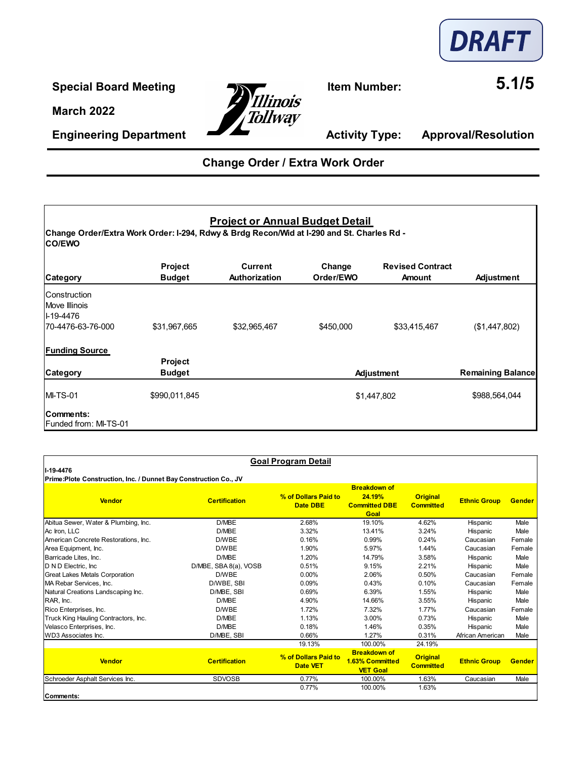

**Special Board Meeting**<br> **11. and 2008**<br> **11. 11. 11. 11. 11. 11. 11. 11. 11. 11. 11. 11. 11. 11. 11. 11. 11. 11. 11. 11. 11. 11. 11. 11. 11. 11. 11. 11. 11. 11.** Tollway

**Engineering Department Activity Type: Approval/Resolution** 

# **Change Order / Extra Work Order**

### **Project or Annual Budget Detail**

**Change Order/Extra Work Order: I-294, Rdwy & Brdg Recon/Wid at I-290 and St. Charles Rd - CO/EWO**

| <b>Category</b>                                                               | Project<br><b>Budget</b>        | Current<br>Authorization | Change<br>Order/EWO | <b>Revised Contract</b><br><b>Amount</b> | Adjustment               |
|-------------------------------------------------------------------------------|---------------------------------|--------------------------|---------------------|------------------------------------------|--------------------------|
| <b>Construction</b><br>Move Illinois<br><b>I-19-4476</b><br>70-4476-63-76-000 | \$31,967,665                    | \$32,965,467             | \$450,000           | \$33,415,467                             | (\$1,447,802)            |
| <b>Funding Source</b><br>Category                                             | <b>Project</b><br><b>Budget</b> |                          |                     | Adjustment                               | <b>Remaining Balance</b> |
| <b>IMI-TS-01</b>                                                              | \$990,011,845                   |                          |                     | \$1,447,802                              | \$988,564,044            |
| Comments:<br><b>Funded from: MI-TS-01</b>                                     |                                 |                          |                     |                                          |                          |

| II-19-4476<br>Prime:Plote Construction, Inc. / Dunnet Bay Construction Co., JV |                       | <b>Goal Program Detail</b>              |                                                                      |                                     |                     |               |
|--------------------------------------------------------------------------------|-----------------------|-----------------------------------------|----------------------------------------------------------------------|-------------------------------------|---------------------|---------------|
| <b>Vendor</b>                                                                  | <b>Certification</b>  | % of Dollars Paid to<br><b>Date DBE</b> | <b>Breakdown of</b><br>24.19%<br><b>Committed DBE</b><br><b>Goal</b> | <b>Original</b><br><b>Committed</b> | <b>Ethnic Group</b> | <b>Gender</b> |
| Abitua Sewer, Water & Plumbing, Inc.                                           | D/MBE                 | 2.68%                                   | 19.10%                                                               | 4.62%                               | Hispanic            | Male          |
| Ac Iron, LLC                                                                   | D/MBE                 | 3.32%                                   | 13.41%                                                               | 3.24%                               | Hispanic            | Male          |
| American Concrete Restorations, Inc.                                           | D/WBE                 | 0.16%                                   | 0.99%                                                                | 0.24%                               | Caucasian           | Female        |
| Area Equipment, Inc.                                                           | D/WBE                 | 1.90%                                   | 5.97%                                                                | 1.44%                               | Caucasian           | Female        |
| Barricade Lites, Inc.                                                          | D/MBE                 | 1.20%                                   | 14.79%                                                               | 3.58%                               | Hispanic            | Male          |
| D N D Electric, Inc.                                                           | D/MBE, SBA 8(a), VOSB | 0.51%                                   | 9.15%                                                                | 2.21%                               | Hispanic            | Male          |
| <b>Great Lakes Metals Corporation</b>                                          | D/WBE                 | 0.00%                                   | 2.06%                                                                | 0.50%                               | Caucasian           | Female        |
| MA Rebar Services, Inc.                                                        | D/WBE, SBI            | 0.09%                                   | 0.43%                                                                | 0.10%                               | Caucasian           | Female        |
| Natural Creations Landscaping Inc.                                             | D/MBE, SBI            | 0.69%                                   | 6.39%                                                                | 1.55%                               | Hispanic            | Male          |
| RAR, Inc.                                                                      | D/MBE                 | 4.90%                                   | 14.66%                                                               | 3.55%                               | Hispanic            | Male          |
| Rico Enterprises, Inc.                                                         | D/WBE                 | 1.72%                                   | 7.32%                                                                | 1.77%                               | Caucasian           | Female        |
| Truck King Hauling Contractors, Inc.                                           | D/MBE                 | 1.13%                                   | 3.00%                                                                | 0.73%                               | Hispanic            | Male          |
| Velasco Enterprises, Inc.                                                      | D/MBE                 | 0.18%                                   | 1.46%                                                                | 0.35%                               | Hispanic            | Male          |
| WD3 Associates Inc.                                                            | D/MBE, SBI            | 0.66%                                   | 1.27%                                                                | 0.31%                               | African American    | Male          |
|                                                                                |                       | 19.13%                                  | 100.00%                                                              | 24.19%                              |                     |               |
| <b>Vendor</b>                                                                  | <b>Certification</b>  | % of Dollars Paid to<br><b>Date VET</b> | <b>Breakdown of</b><br>1.63% Committed<br><b>VET Goal</b>            | <b>Original</b><br><b>Committed</b> | <b>Ethnic Group</b> | <b>Gender</b> |
| Schroeder Asphalt Services Inc.                                                | <b>SDVOSB</b>         | 0.77%                                   | 100.00%                                                              | 1.63%                               | Caucasian           | Male          |
|                                                                                |                       | 0.77%                                   | 100.00%                                                              | 1.63%                               |                     |               |
| lComments:                                                                     |                       |                                         |                                                                      |                                     |                     |               |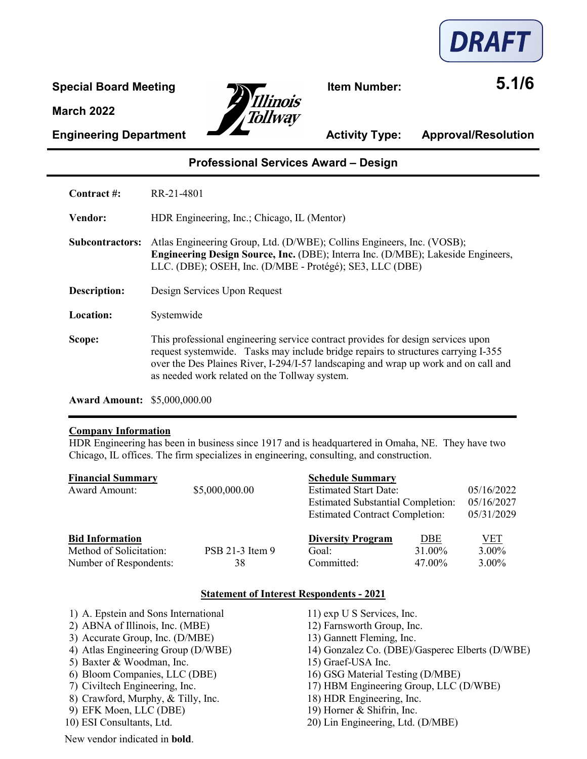



**Engineering Department Activity Type: Approval/Resolution** 

### **Professional Services Award – Design**

**Contract #:** RR-21-4801

**Vendor:** HDR Engineering, Inc.; Chicago, IL (Mentor)

- **Subcontractors:** Atlas Engineering Group, Ltd. (D/WBE); Collins Engineers, Inc. (VOSB); **Engineering Design Source, Inc.** (DBE); Interra Inc. (D/MBE); Lakeside Engineers, LLC. (DBE); OSEH, Inc. (D/MBE - Protégé); SE3, LLC (DBE)
- **Description:** Design Services Upon Request

**Location:** Systemwide

**Scope:** This professional engineering service contract provides for design services upon request systemwide. Tasks may include bridge repairs to structures carrying I-355 over the Des Plaines River, I-294/I-57 landscaping and wrap up work and on call and as needed work related on the Tollway system.

**Award Amount:** \$5,000,000.00

#### **Company Information**

HDR Engineering has been in business since 1917 and is headquartered in Omaha, NE. They have two Chicago, IL offices. The firm specializes in engineering, consulting, and construction.

| <b>Financial Summary</b> |                 | <b>Schedule Summary</b>                  |            |            |
|--------------------------|-----------------|------------------------------------------|------------|------------|
| <b>Award Amount:</b>     | \$5,000,000.00  | <b>Estimated Start Date:</b>             |            | 05/16/2022 |
|                          |                 | <b>Estimated Substantial Completion:</b> |            | 05/16/2027 |
|                          |                 | <b>Estimated Contract Completion:</b>    |            | 05/31/2029 |
| <b>Bid Information</b>   |                 | <b>Diversity Program</b>                 | <b>DBE</b> | VET        |
| Method of Solicitation:  | PSB 21-3 Item 9 | Goal:                                    | 31.00%     | 3.00%      |
| Number of Respondents:   | 38              | Committed:                               | 47.00%     | $3.00\%$   |

#### **Statement of Interest Respondents - 2021**

1) A. Epstein and Sons International 11) exp U S Services, Inc. 2) ABNA of Illinois, Inc. (MBE) 12) Farnsworth Group, Inc. 3) Accurate Group, Inc. (D/MBE) 13) Gannett Fleming, Inc.<br>
4) Atlas Engineering Group (D/WBE) 14) Gonzalez Co. (DBE)/ 14) Gonzalez Co. (DBE)/Gasperec Elberts (D/WBE) 5) Baxter & Woodman, Inc. 15) Graef-USA Inc. 6) Bloom Companies, LLC (DBE) 16) GSG Material Testing (D/MBE) 7) Civiltech Engineering, Inc. 17) HBM Engineering Group, LLC (D/WBE) 8) Crawford, Murphy, & Tilly, Inc. 18) HDR Engineering, Inc. 9) EFK Moen, LLC (DBE) 19) Horner & Shifrin, Inc. 10) ESI Consultants, Ltd. 20) Lin Engineering, Ltd. (D/MBE) New vendor indicated in **bold**.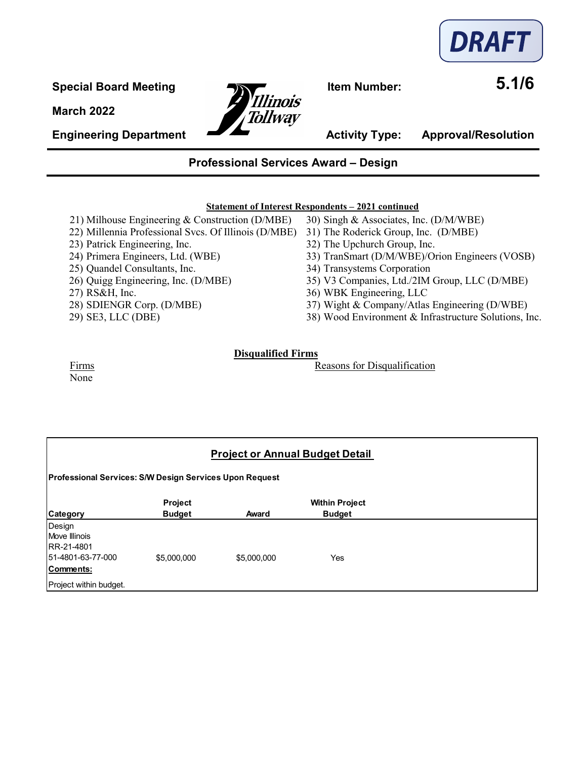

**Engineering Department Activity Type: Approval/Resolution** 



### **Professional Services Award – Design**

#### **Statement of Interest Respondents – 2021 continued**

- 21) Milhouse Engineering & Construction (D/MBE) 30) Singh & Associates, Inc. (D/M/WBE)
- 22) Millennia Professional Svcs. Of Illinois (D/MBE) 31) The Roderick Group, Inc. (D/MBE)
- 
- 
- 
- 
- 
- 
- 
- 
- 
- 23) Patrick Engineering, Inc. 32) The Upchurch Group, Inc.
- 24) Primera Engineers, Ltd. (WBE) 33) TranSmart (D/M/WBE)/Orion Engineers (VOSB)
- 25) Quandel Consultants, Inc. 34) Transystems Corporation
- 26) Quigg Engineering, Inc. (D/MBE) 35) V3 Companies, Ltd./2IM Group, LLC (D/MBE)
- 27) RS&H, Inc. 36) WBK Engineering, LLC
- 28) SDIENGR Corp. (D/MBE) 37) Wight & Company/Atlas Engineering (D/WBE)
- 29) SE3, LLC (DBE) 38) Wood Environment & Infrastructure Solutions, Inc.

#### **Disqualified Firms**

Firms **Reasons** for Disqualification

None

## **Project or Annual Budget Detail**

**Professional Services: S/W Design Services Upon Request**

|                                  | <b>Project</b> |             | <b>Within Project</b> |
|----------------------------------|----------------|-------------|-----------------------|
| Category                         | <b>Budget</b>  | Award       | <b>Budget</b>         |
| Design                           |                |             |                       |
| Move Illinois                    |                |             |                       |
| RR-21-4801<br>151-4801-63-77-000 | \$5,000,000    | \$5,000,000 | Yes                   |
| Comments:                        |                |             |                       |
|                                  |                |             |                       |
| Project within budget.           |                |             |                       |